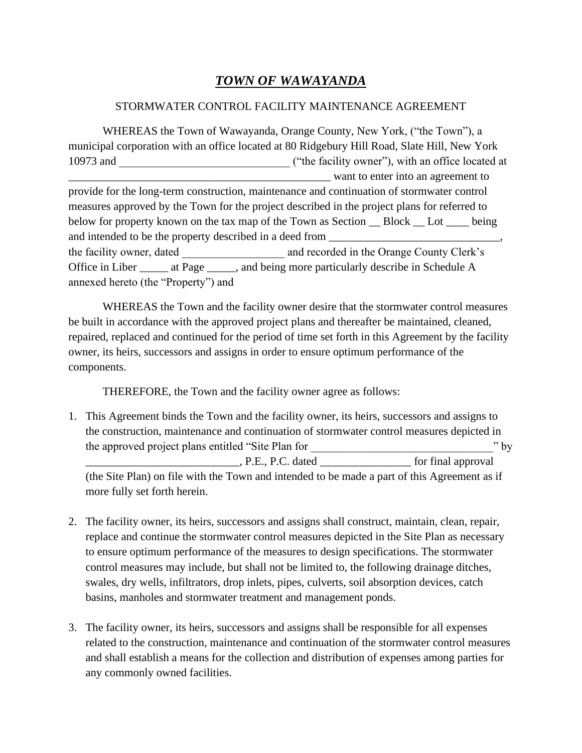## *TOWN OF WAWAYANDA*

## STORMWATER CONTROL FACILITY MAINTENANCE AGREEMENT

WHEREAS the Town of Wawayanda, Orange County, New York, ("the Town"), a municipal corporation with an office located at 80 Ridgebury Hill Road, Slate Hill, New York 10973 and  $($ "the facility owner"), with an office located at \_\_\_\_\_\_\_\_\_\_\_\_\_\_\_\_\_\_\_\_\_\_\_\_\_\_\_\_\_\_\_\_\_\_\_\_\_\_\_\_\_\_\_\_\_\_ want to enter into an agreement to provide for the long-term construction, maintenance and continuation of stormwater control measures approved by the Town for the project described in the project plans for referred to below for property known on the tax map of the Town as Section  $\_\_$  Block  $\_\_$  Lot  $\_\_$  being and intended to be the property described in a deed from the facility owner, dated \_\_\_\_\_\_\_\_\_\_\_\_\_\_\_\_\_\_ and recorded in the Orange County Clerk's Office in Liber \_\_\_\_\_\_\_ at Page \_\_\_\_\_\_, and being more particularly describe in Schedule A annexed hereto (the "Property") and

WHEREAS the Town and the facility owner desire that the stormwater control measures be built in accordance with the approved project plans and thereafter be maintained, cleaned, repaired, replaced and continued for the period of time set forth in this Agreement by the facility owner, its heirs, successors and assigns in order to ensure optimum performance of the components.

THEREFORE, the Town and the facility owner agree as follows:

1. This Agreement binds the Town and the facility owner, its heirs, successors and assigns to the construction, maintenance and continuation of stormwater control measures depicted in the approved project plans entitled "Site Plan for " by " by \_\_\_\_\_\_\_\_\_\_\_\_\_\_\_\_\_\_\_\_\_\_\_\_\_\_\_, P.E., P.C. dated \_\_\_\_\_\_\_\_\_\_\_\_\_\_\_\_ for final approval

(the Site Plan) on file with the Town and intended to be made a part of this Agreement as if more fully set forth herein.

- 2. The facility owner, its heirs, successors and assigns shall construct, maintain, clean, repair, replace and continue the stormwater control measures depicted in the Site Plan as necessary to ensure optimum performance of the measures to design specifications. The stormwater control measures may include, but shall not be limited to, the following drainage ditches, swales, dry wells, infiltrators, drop inlets, pipes, culverts, soil absorption devices, catch basins, manholes and stormwater treatment and management ponds.
- 3. The facility owner, its heirs, successors and assigns shall be responsible for all expenses related to the construction, maintenance and continuation of the stormwater control measures and shall establish a means for the collection and distribution of expenses among parties for any commonly owned facilities.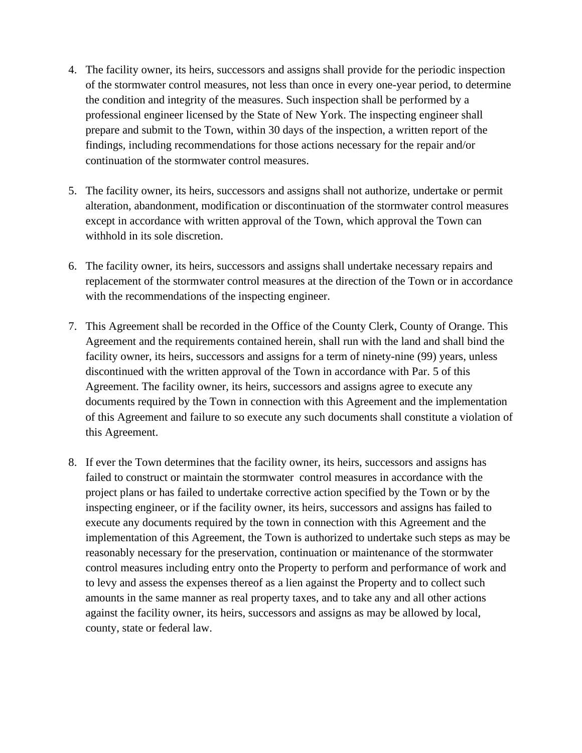- 4. The facility owner, its heirs, successors and assigns shall provide for the periodic inspection of the stormwater control measures, not less than once in every one-year period, to determine the condition and integrity of the measures. Such inspection shall be performed by a professional engineer licensed by the State of New York. The inspecting engineer shall prepare and submit to the Town, within 30 days of the inspection, a written report of the findings, including recommendations for those actions necessary for the repair and/or continuation of the stormwater control measures.
- 5. The facility owner, its heirs, successors and assigns shall not authorize, undertake or permit alteration, abandonment, modification or discontinuation of the stormwater control measures except in accordance with written approval of the Town, which approval the Town can withhold in its sole discretion.
- 6. The facility owner, its heirs, successors and assigns shall undertake necessary repairs and replacement of the stormwater control measures at the direction of the Town or in accordance with the recommendations of the inspecting engineer.
- 7. This Agreement shall be recorded in the Office of the County Clerk, County of Orange. This Agreement and the requirements contained herein, shall run with the land and shall bind the facility owner, its heirs, successors and assigns for a term of ninety-nine (99) years, unless discontinued with the written approval of the Town in accordance with Par. 5 of this Agreement. The facility owner, its heirs, successors and assigns agree to execute any documents required by the Town in connection with this Agreement and the implementation of this Agreement and failure to so execute any such documents shall constitute a violation of this Agreement.
- 8. If ever the Town determines that the facility owner, its heirs, successors and assigns has failed to construct or maintain the stormwater control measures in accordance with the project plans or has failed to undertake corrective action specified by the Town or by the inspecting engineer, or if the facility owner, its heirs, successors and assigns has failed to execute any documents required by the town in connection with this Agreement and the implementation of this Agreement, the Town is authorized to undertake such steps as may be reasonably necessary for the preservation, continuation or maintenance of the stormwater control measures including entry onto the Property to perform and performance of work and to levy and assess the expenses thereof as a lien against the Property and to collect such amounts in the same manner as real property taxes, and to take any and all other actions against the facility owner, its heirs, successors and assigns as may be allowed by local, county, state or federal law.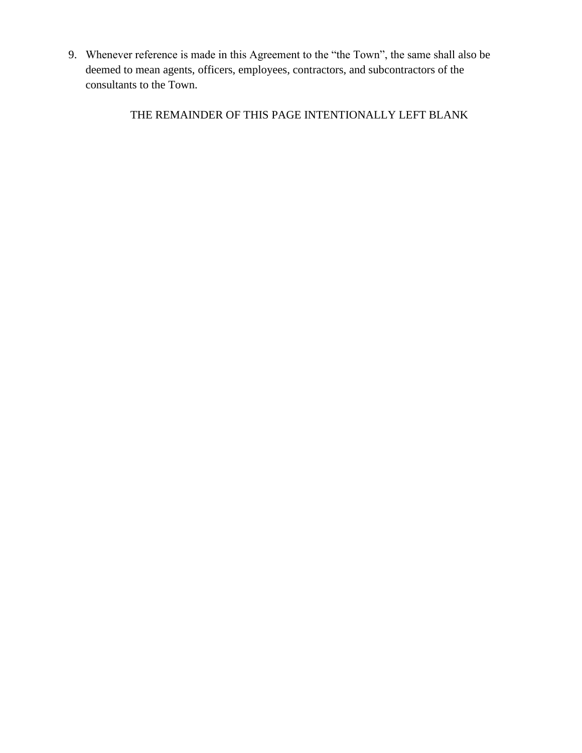9. Whenever reference is made in this Agreement to the "the Town", the same shall also be deemed to mean agents, officers, employees, contractors, and subcontractors of the consultants to the Town.

THE REMAINDER OF THIS PAGE INTENTIONALLY LEFT BLANK